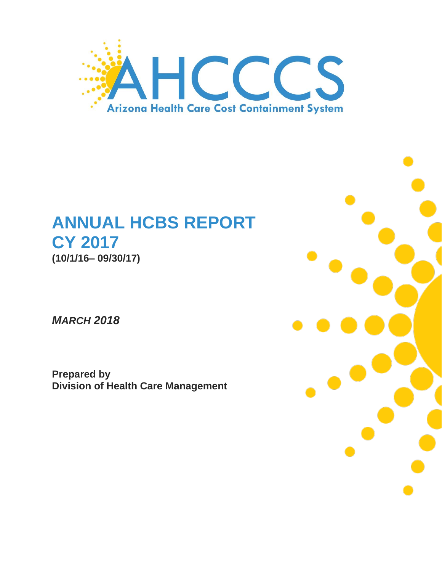

# **ANNUAL HCBS REPORT CY 2017 (10/1/16– 09/30/17)**

*MARCH 2018*

**Prepared by Division of Health Care Management**

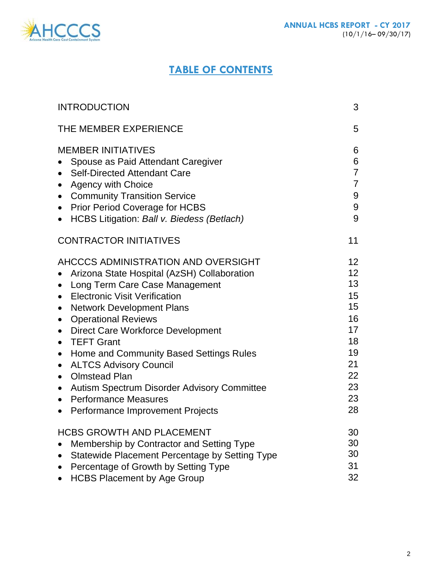

# **TABLE OF CONTENTS**

| <b>INTRODUCTION</b>                                                                                                                                                                                                                                                                                                                                                                                                                                                                                                                                                                                                                                                                      | 3                                                                                                          |
|------------------------------------------------------------------------------------------------------------------------------------------------------------------------------------------------------------------------------------------------------------------------------------------------------------------------------------------------------------------------------------------------------------------------------------------------------------------------------------------------------------------------------------------------------------------------------------------------------------------------------------------------------------------------------------------|------------------------------------------------------------------------------------------------------------|
| THE MEMBER EXPERIENCE                                                                                                                                                                                                                                                                                                                                                                                                                                                                                                                                                                                                                                                                    | 5                                                                                                          |
| <b>MEMBER INITIATIVES</b><br>Spouse as Paid Attendant Caregiver<br><b>Self-Directed Attendant Care</b><br>$\bullet$<br><b>Agency with Choice</b><br>$\bullet$<br><b>Community Transition Service</b><br>$\bullet$<br><b>Prior Period Coverage for HCBS</b><br>$\bullet$<br>HCBS Litigation: Ball v. Biedess (Betlach)<br>$\bullet$                                                                                                                                                                                                                                                                                                                                                       | 6<br>6<br>$\overline{7}$<br>$\overline{7}$<br>9<br>9<br>9                                                  |
| <b>CONTRACTOR INITIATIVES</b>                                                                                                                                                                                                                                                                                                                                                                                                                                                                                                                                                                                                                                                            | 11                                                                                                         |
| AHCCCS ADMINISTRATION AND OVERSIGHT<br>Arizona State Hospital (AzSH) Collaboration<br>Long Term Care Case Management<br>$\bullet$<br><b>Electronic Visit Verification</b><br>$\bullet$<br><b>Network Development Plans</b><br>$\bullet$<br><b>Operational Reviews</b><br>$\bullet$<br><b>Direct Care Workforce Development</b><br>$\bullet$<br><b>TEFT Grant</b><br>$\bullet$<br>Home and Community Based Settings Rules<br>$\bullet$<br><b>ALTCS Advisory Council</b><br>$\bullet$<br><b>Olmstead Plan</b><br>$\bullet$<br><b>Autism Spectrum Disorder Advisory Committee</b><br>$\bullet$<br><b>Performance Measures</b><br>$\bullet$<br>Performance Improvement Projects<br>$\bullet$ | 12 <sup>2</sup><br>12 <sup>2</sup><br>13<br>15<br>15<br>16<br>17<br>18<br>19<br>21<br>22<br>23<br>23<br>28 |
| <b>HCBS GROWTH AND PLACEMENT</b><br>Membership by Contractor and Setting Type<br>Statewide Placement Percentage by Setting Type<br>Percentage of Growth by Setting Type<br><b>HCBS Placement by Age Group</b>                                                                                                                                                                                                                                                                                                                                                                                                                                                                            | 30<br>30<br>30<br>31<br>32                                                                                 |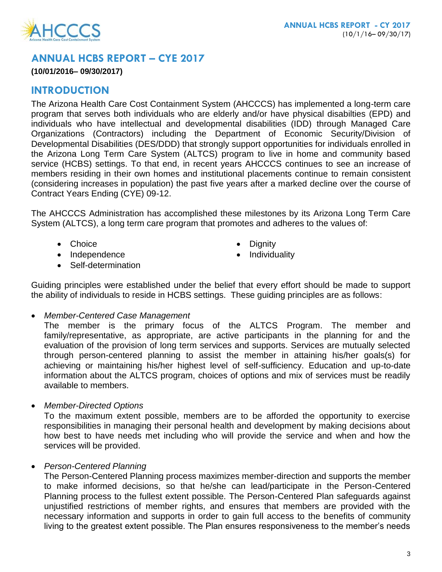# **ANNUAL HCBS REPORT – CYE 2017**

## **(10/01/2016– 09/30/2017)**

# **INTRODUCTION**

The Arizona Health Care Cost Containment System (AHCCCS) has implemented a long-term care program that serves both individuals who are elderly and/or have physical disabilties (EPD) and individuals who have intellectual and developmental disabilities (IDD) through Managed Care Organizations (Contractors) including the Department of Economic Security/Division of Developmental Disabilities (DES/DDD) that strongly support opportunities for individuals enrolled in the Arizona Long Term Care System (ALTCS) program to live in home and community based service (HCBS) settings. To that end, in recent years AHCCCS continues to see an increase of members residing in their own homes and institutional placements continue to remain consistent (considering increases in population) the past five years after a marked decline over the course of Contract Years Ending (CYE) 09-12.

The AHCCCS Administration has accomplished these milestones by its Arizona Long Term Care System (ALTCS), a long term care program that promotes and adheres to the values of:

- Choice **Dignity**
- Independence **Individuality**
- -

• Self-determination

Guiding principles were established under the belief that every effort should be made to support the ability of individuals to reside in HCBS settings. These guiding principles are as follows:

*Member-Centered Case Management*

The member is the primary focus of the ALTCS Program. The member and family/representative, as appropriate, are active participants in the planning for and the evaluation of the provision of long term services and supports. Services are mutually selected through person-centered planning to assist the member in attaining his/her goals(s) for achieving or maintaining his/her highest level of self-sufficiency. Education and up-to-date information about the ALTCS program, choices of options and mix of services must be readily available to members.

*Member-Directed Options*

To the maximum extent possible, members are to be afforded the opportunity to exercise responsibilities in managing their personal health and development by making decisions about how best to have needs met including who will provide the service and when and how the services will be provided.

*Person-Centered Planning*

The Person-Centered Planning process maximizes member-direction and supports the member to make informed decisions, so that he/she can lead/participate in the Person-Centered Planning process to the fullest extent possible. The Person-Centered Plan safeguards against unjustified restrictions of member rights, and ensures that members are provided with the necessary information and supports in order to gain full access to the benefits of community living to the greatest extent possible. The Plan ensures responsiveness to the member's needs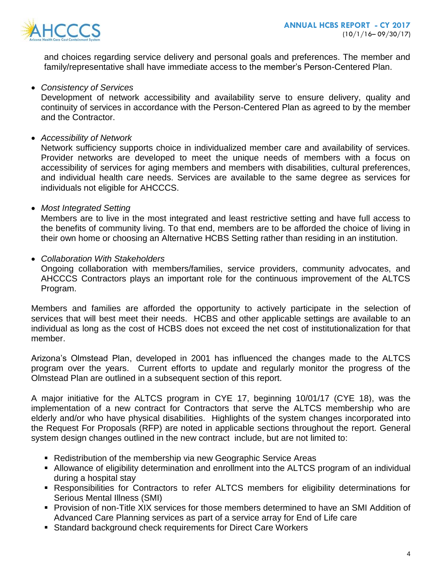

and choices regarding service delivery and personal goals and preferences. The member and family/representative shall have immediate access to the member's Person-Centered Plan.

#### *Consistency of Services*

Development of network accessibility and availability serve to ensure delivery, quality and continuity of services in accordance with the Person-Centered Plan as agreed to by the member and the Contractor.

*Accessibility of Network*

Network sufficiency supports choice in individualized member care and availability of services. Provider networks are developed to meet the unique needs of members with a focus on accessibility of services for aging members and members with disabilities, cultural preferences, and individual health care needs. Services are available to the same degree as services for individuals not eligible for AHCCCS.

*Most Integrated Setting*

Members are to live in the most integrated and least restrictive setting and have full access to the benefits of community living. To that end, members are to be afforded the choice of living in their own home or choosing an Alternative HCBS Setting rather than residing in an institution.

*Collaboration With Stakeholders*

Ongoing collaboration with members/families, service providers, community advocates, and AHCCCS Contractors plays an important role for the continuous improvement of the ALTCS Program.

Members and families are afforded the opportunity to actively participate in the selection of services that will best meet their needs. HCBS and other applicable settings are available to an individual as long as the cost of HCBS does not exceed the net cost of institutionalization for that member.

Arizona's Olmstead Plan, developed in 2001 has influenced the changes made to the ALTCS program over the years. Current efforts to update and regularly monitor the progress of the Olmstead Plan are outlined in a subsequent section of this report.

A major initiative for the ALTCS program in CYE 17, beginning 10/01/17 (CYE 18), was the implementation of a new contract for Contractors that serve the ALTCS membership who are elderly and/or who have physical disabilities. Highlights of the system changes incorporated into the Request For Proposals (RFP) are noted in applicable sections throughout the report. General system design changes outlined in the new contract include, but are not limited to:

- **Redistribution of the membership via new Geographic Service Areas**
- Allowance of eligibility determination and enrollment into the ALTCS program of an individual during a hospital stay
- Responsibilities for Contractors to refer ALTCS members for eligibility determinations for Serious Mental Illness (SMI)
- Provision of non-Title XIX services for those members determined to have an SMI Addition of Advanced Care Planning services as part of a service array for End of Life care
- **Standard background check requirements for Direct Care Workers**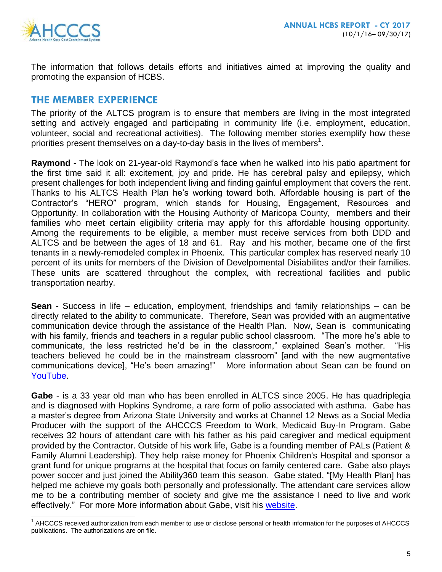

l

The information that follows details efforts and initiatives aimed at improving the quality and promoting the expansion of HCBS.

## **THE MEMBER EXPERIENCE**

The priority of the ALTCS program is to ensure that members are living in the most integrated setting and actively engaged and participating in community life (i.e. employment, education, volunteer, social and recreational activities). The following member stories exemplify how these priorities present themselves on a day-to-day basis in the lives of members<sup>1</sup>.

**Raymond** - The look on 21-year-old Raymond's face when he walked into his patio apartment for the first time said it all: excitement, joy and pride. He has cerebral palsy and epilepsy, which present challenges for both independent living and finding gainful employment that covers the rent. Thanks to his ALTCS Health Plan he's working toward both. Affordable housing is part of the Contractor's "HERO" program, which stands for Housing, Engagement, Resources and Opportunity. In collaboration with the Housing Authority of Maricopa County, members and their families who meet certain eligibility criteria may apply for this affordable housing opportunity. Among the requirements to be eligible, a member must receive services from both DDD and ALTCS and be between the ages of 18 and 61. Ray and his mother, became one of the first tenants in a newly-remodeled complex in Phoenix. This particular complex has reserved nearly 10 percent of its units for members of the Division of Develpomental Disiabilites and/or their families. These units are scattered throughout the complex, with recreational facilities and public transportation nearby.

**Sean** - Success in life – education, employment, friendships and family relationships – can be directly related to the ability to communicate. Therefore, Sean was provided with an augmentative communication device through the assistance of the Health Plan. Now, Sean is communicating with his family, friends and teachers in a regular public school classroom. "The more he's able to communicate, the less restricted he'd be in the classroom," explained Sean's mother. "His teachers believed he could be in the mainstream classroom" [and with the new augmentative communications device], "He's been amazing!" More information about Sean can be found on [YouTube.](https://www.youtube.com/watch?v=FIzYDeIphjs)

**Gabe** - is a 33 year old man who has been enrolled in ALTCS since 2005. He has quadriplegia and is diagnosed with Hopkins Syndrome, a rare form of polio associated with asthma. Gabe has a master's degree from Arizona State University and works at Channel 12 News as a Social Media Producer with the support of the AHCCCS Freedom to Work, Medicaid Buy-In Program. Gabe receives 32 hours of attendant care with his father as his paid caregiver and medical equipment provided by the Contractor. Outside of his work life, Gabe is a founding member of PALs (Patient & Family Alumni Leadership). They help raise money for Phoenix Children's Hospital and sponsor a grant fund for unique programs at the hospital that focus on family centered care. Gabe also plays power soccer and just joined the Ability360 team this season. Gabe stated, "[My Health Plan] has helped me achieve my goals both personally and professionally. The attendant care services allow me to be a contributing member of society and give me the assistance I need to live and work effectively." For more More information about Gabe, visit his [website.](http://www.gabetrujillo.com/)

<sup>&</sup>lt;sup>1</sup> AHCCCS received authorization from each member to use or disclose personal or health information for the purposes of AHCCCS publications. The authorizations are on file.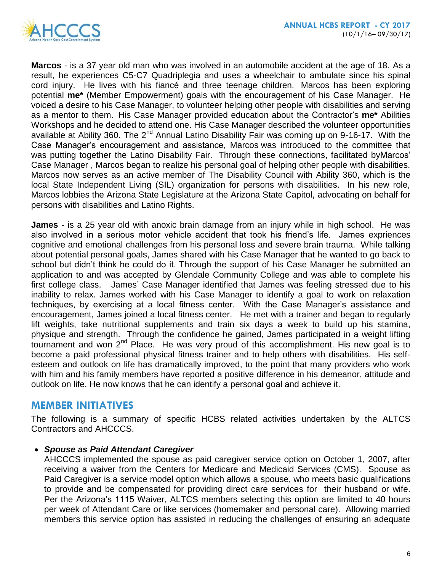

**Marcos** - is a 37 year old man who was involved in an automobile accident at the age of 18. As a result, he experiences C5-C7 Quadriplegia and uses a wheelchair to ambulate since his spinal cord injury. He lives with his fiancé and three teenage children. Marcos has been exploring potential **me\*** (Member Empowerment) goals with the encouragement of his Case Manager. He voiced a desire to his Case Manager, to volunteer helping other people with disabilities and serving as a mentor to them. His Case Manager provided education about the Contractor's **me\*** Abilities Workshops and he decided to attend one. His Case Manager described the volunteer opportunities available at Ability 360. The  $2^{nd}$  Annual Latino Disability Fair was coming up on 9-16-17. With the Case Manager's encouragement and assistance, Marcos was introduced to the committee that was putting together the Latino Disability Fair. Through these connections, facilitated byMarcos' Case Manager , Marcos began to realize his personal goal of helping other people with disabilities. Marcos now serves as an active member of The Disability Council with Ability 360, which is the local State Independent Living (SIL) organization for persons with disabilities. In his new role, Marcos lobbies the Arizona State Legislature at the Arizona State Capitol, advocating on behalf for persons with disabilities and Latino Rights.

**James** - is a 25 year old with anoxic brain damage from an injury while in high school. He was also involved in a serious motor vehicle accident that took his friend's life. James expriences cognitive and emotional challenges from his personal loss and severe brain trauma. While talking about potential personal goals, James shared with his Case Manager that he wanted to go back to school but didn't think he could do it. Through the support of his Case Manager he submitted an application to and was accepted by Glendale Community College and was able to complete his first college class. James' Case Manager identified that James was feeling stressed due to his inability to relax. James worked with his Case Manager to identify a goal to work on relaxation techniques, by exercising at a local fitness center. With the Case Manager's assistance and encouragement, James joined a local fitness center. He met with a trainer and began to regularly lift weights, take nutritional supplements and train six days a week to build up his stamina, physique and strength. Through the confidence he gained, James participated in a weight lifting tournament and won 2<sup>nd</sup> Place. He was very proud of this accomplishment. His new goal is to become a paid professional physical fitness trainer and to help others with disabilities. His selfesteem and outlook on life has dramatically improved, to the point that many providers who work with him and his family members have reported a positive difference in his demeanor, attitude and outlook on life. He now knows that he can identify a personal goal and achieve it.

## **MEMBER INITIATIVES**

The following is a summary of specific HCBS related activities undertaken by the ALTCS Contractors and AHCCCS.

## *Spouse as Paid Attendant Caregiver*

AHCCCS implemented the spouse as paid caregiver service option on October 1, 2007, after receiving a waiver from the Centers for Medicare and Medicaid Services (CMS). Spouse as Paid Caregiver is a service model option which allows a spouse, who meets basic qualifications to provide and be compensated for providing direct care services for their husband or wife. Per the Arizona's 1115 Waiver, ALTCS members selecting this option are limited to 40 hours per week of Attendant Care or like services (homemaker and personal care). Allowing married members this service option has assisted in reducing the challenges of ensuring an adequate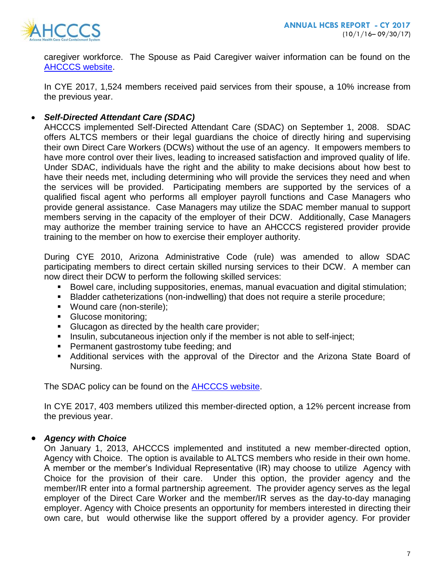

caregiver workforce. The Spouse as Paid Caregiver waiver information can be found on the [AHCCCS website.](https://www.azahcccs.gov/Resources/Federal/waiver.html)

In CYE 2017, 1,524 members received paid services from their spouse, a 10% increase from the previous year.

## *Self-Directed Attendant Care (SDAC)*

AHCCCS implemented Self-Directed Attendant Care (SDAC) on September 1, 2008. SDAC offers ALTCS members or their legal guardians the choice of directly hiring and supervising their own Direct Care Workers (DCWs) without the use of an agency. It empowers members to have more control over their lives, leading to increased satisfaction and improved quality of life. Under SDAC, individuals have the right and the ability to make decisions about how best to have their needs met, including determining who will provide the services they need and when the services will be provided. Participating members are supported by the services of a qualified fiscal agent who performs all employer payroll functions and Case Managers who provide general assistance. Case Managers may utilize the SDAC member manual to support members serving in the capacity of the employer of their DCW. Additionally, Case Managers may authorize the member training service to have an AHCCCS registered provider provide training to the member on how to exercise their employer authority.

During CYE 2010, Arizona Administrative Code (rule) was amended to allow SDAC participating members to direct certain skilled nursing services to their DCW. A member can now direct their DCW to perform the following skilled services:

- Bowel care, including suppositories, enemas, manual evacuation and digital stimulation;
- Bladder catheterizations (non-indwelling) that does not require a sterile procedure;
- Wound care (non-sterile);
- Glucose monitoring;
- **Glucagon as directed by the health care provider;**
- **Insulin, subcutaneous injection only if the member is not able to self-inject;**
- **Permanent gastrostomy tube feeding; and**
- Additional services with the approval of the Director and the Arizona State Board of Nursing.

The SDAC policy can be found on the [AHCCCS website.](https://www.azahcccs.gov/shared/Downloads/MedicalPolicyManual/Chap1300.pdf)

In CYE 2017, 403 members utilized this member-directed option, a 12% percent increase from the previous year.

## *Agency with Choice*

On January 1, 2013, AHCCCS implemented and instituted a new member-directed option, Agency with Choice. The option is available to ALTCS members who reside in their own home. A member or the member's Individual Representative (IR) may choose to utilize Agency with Choice for the provision of their care. Under this option, the provider agency and the member/IR enter into a formal partnership agreement. The provider agency serves as the legal employer of the Direct Care Worker and the member/IR serves as the day-to-day managing employer. Agency with Choice presents an opportunity for members interested in directing their own care, but would otherwise like the support offered by a provider agency. For provider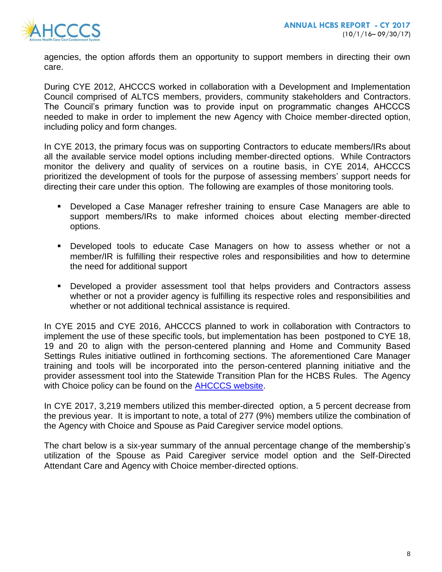

agencies, the option affords them an opportunity to support members in directing their own care.

During CYE 2012, AHCCCS worked in collaboration with a Development and Implementation Council comprised of ALTCS members, providers, community stakeholders and Contractors. The Council's primary function was to provide input on programmatic changes AHCCCS needed to make in order to implement the new Agency with Choice member-directed option, including policy and form changes.

In CYE 2013, the primary focus was on supporting Contractors to educate members/IRs about all the available service model options including member-directed options. While Contractors monitor the delivery and quality of services on a routine basis, in CYE 2014, AHCCCS prioritized the development of tools for the purpose of assessing members' support needs for directing their care under this option. The following are examples of those monitoring tools.

- Developed a Case Manager refresher training to ensure Case Managers are able to support members/IRs to make informed choices about electing member-directed options.
- Developed tools to educate Case Managers on how to assess whether or not a member/IR is fulfilling their respective roles and responsibilities and how to determine the need for additional support
- Developed a provider assessment tool that helps providers and Contractors assess whether or not a provider agency is fulfilling its respective roles and responsibilities and whether or not additional technical assistance is required.

In CYE 2015 and CYE 2016, AHCCCS planned to work in collaboration with Contractors to implement the use of these specific tools, but implementation has been postponed to CYE 18, 19 and 20 to align with the person-centered planning and Home and Community Based Settings Rules initiative outlined in forthcoming sections. The aforementioned Care Manager training and tools will be incorporated into the person-centered planning initiative and the provider assessment tool into the Statewide Transition Plan for the HCBS Rules. The Agency with Choice policy can be found on the [AHCCCS website.](https://www.azahcccs.gov/shared/Downloads/MedicalPolicyManual/Chap1300.pdf)

In CYE 2017, 3,219 members utilized this member-directed option, a 5 percent decrease from the previous year. It is important to note, a total of 277 (9%) members utilize the combination of the Agency with Choice and Spouse as Paid Caregiver service model options.

The chart below is a six-year summary of the annual percentage change of the membership's utilization of the Spouse as Paid Caregiver service model option and the Self-Directed Attendant Care and Agency with Choice member-directed options.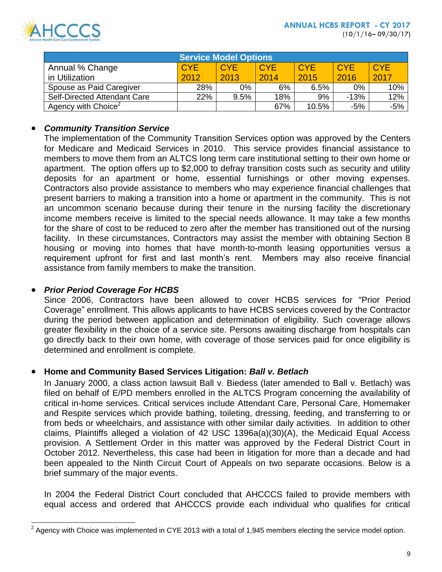

| <b>Service Model Options</b>        |            |            |            |            |            |            |
|-------------------------------------|------------|------------|------------|------------|------------|------------|
| Annual % Change                     | <b>CYE</b> | <b>CYE</b> | <b>CYE</b> | <b>CYE</b> | <b>CYE</b> | <b>CYE</b> |
| in Utilization                      | 2012       | 2013       | 2014       | 2015       | 2016       | 2017       |
| Spouse as Paid Caregiver            | 28%        | 0%         | 6%         | 6.5%       | $0\%$      | 10%        |
| <b>Self-Directed Attendant Care</b> | 22%        | 9.5%       | 18%        | 9%         | $-13%$     | 12%        |
| Agency with Choice <sup>2</sup>     |            |            | 67%        | 10.5%      | $-5%$      | $-5%$      |

## *Community Transition Service*

The implementation of the Community Transition Services option was approved by the Centers for Medicare and Medicaid Services in 2010. This service provides financial assistance to members to move them from an ALTCS long term care institutional setting to their own home or apartment. The option offers up to \$2,000 to defray transition costs such as security and utility deposits for an apartment or home, essential furnishings or other moving expenses. Contractors also provide assistance to members who may experience financial challenges that present barriers to making a transition into a home or apartment in the community. This is not an uncommon scenario because during their tenure in the nursing facility the discretionary income members receive is limited to the special needs allowance. It may take a few months for the share of cost to be reduced to zero after the member has transitioned out of the nursing facility. In these circumstances, Contractors may assist the member with obtaining Section 8 housing or moving into homes that have month-to-month leasing opportunities versus a requirement upfront for first and last month's rent. Members may also receive financial assistance from family members to make the transition.

## *Prior Period Coverage For HCBS*

 $\overline{a}$ 

Since 2006, Contractors have been allowed to cover HCBS services for "Prior Period Coverage" enrollment. This allows applicants to have HCBS services covered by the Contractor during the period between application and determination of eligibility. Such coverage allows greater flexibility in the choice of a service site. Persons awaiting discharge from hospitals can go directly back to their own home, with coverage of those services paid for once eligibility is determined and enrollment is complete.

## **Home and Community Based Services Litigation:** *Ball v. Betlach*

In January 2000, a class action lawsuit Ball v. Biedess (later amended to Ball v. Betlach) was filed on behalf of E/PD members enrolled in the ALTCS Program concerning the availability of critical in-home services. Critical services include Attendant Care, Personal Care, Homemaker and Respite services which provide bathing, toileting, dressing, feeding, and transferring to or from beds or wheelchairs, and assistance with other similar daily activities. In addition to other claims, Plaintiffs alleged a violation of 42 USC 1396a(a)(30)(A), the Medicaid Equal Access provision. A Settlement Order in this matter was approved by the Federal District Court in October 2012. Nevertheless, this case had been in litigation for more than a decade and had been appealed to the Ninth Circuit Court of Appeals on two separate occasions. Below is a brief summary of the major events.

In 2004 the Federal District Court concluded that AHCCCS failed to provide members with equal access and ordered that AHCCCS provide each individual who qualifies for critical

 $2$  Agency with Choice was implemented in CYE 2013 with a total of 1,945 members electing the service model option.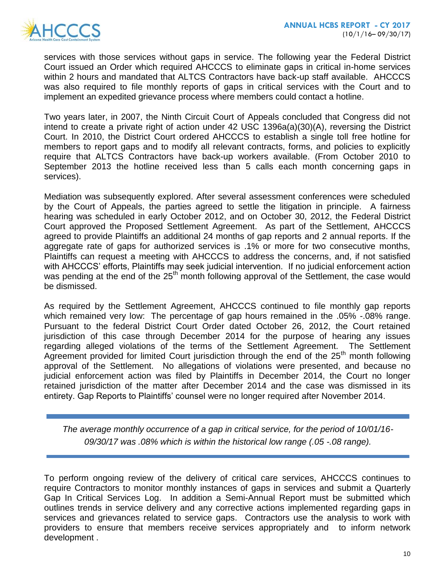services with those services without gaps in service. The following year the Federal District Court issued an Order which required AHCCCS to eliminate gaps in critical in-home services within 2 hours and mandated that ALTCS Contractors have back-up staff available. AHCCCS was also required to file monthly reports of gaps in critical services with the Court and to implement an expedited grievance process where members could contact a hotline.

Two years later, in 2007, the Ninth Circuit Court of Appeals concluded that Congress did not intend to create a private right of action under 42 USC 1396a(a)(30)(A), reversing the District Court. In 2010, the District Court ordered AHCCCS to establish a single toll free hotline for members to report gaps and to modify all relevant contracts, forms, and policies to explicitly require that ALTCS Contractors have back-up workers available. (From October 2010 to September 2013 the hotline received less than 5 calls each month concerning gaps in services).

Mediation was subsequently explored. After several assessment conferences were scheduled by the Court of Appeals, the parties agreed to settle the litigation in principle. A fairness hearing was scheduled in early October 2012, and on October 30, 2012, the Federal District Court approved the Proposed Settlement Agreement. As part of the Settlement, AHCCCS agreed to provide Plaintiffs an additional 24 months of gap reports and 2 annual reports. If the aggregate rate of gaps for authorized services is .1% or more for two consecutive months, Plaintiffs can request a meeting with AHCCCS to address the concerns, and, if not satisfied with AHCCCS' efforts, Plaintiffs may seek judicial intervention. If no judicial enforcement action was pending at the end of the 25<sup>th</sup> month following approval of the Settlement, the case would be dismissed.

As required by the Settlement Agreement, AHCCCS continued to file monthly gap reports which remained very low: The percentage of gap hours remained in the .05% -.08% range. Pursuant to the federal District Court Order dated October 26, 2012, the Court retained jurisdiction of this case through December 2014 for the purpose of hearing any issues regarding alleged violations of the terms of the Settlement Agreement. The Settlement Agreement provided for limited Court jurisdiction through the end of the 25<sup>th</sup> month following approval of the Settlement. No allegations of violations were presented, and because no judicial enforcement action was filed by Plaintiffs in December 2014, the Court no longer retained jurisdiction of the matter after December 2014 and the case was dismissed in its entirety. Gap Reports to Plaintiffs' counsel were no longer required after November 2014.

*The average monthly occurrence of a gap in critical service, for the period of 10/01/16- 09/30/17 was .08% which is within the historical low range (.05 -.08 range).* 

To perform ongoing review of the delivery of critical care services, AHCCCS continues to require Contractors to monitor monthly instances of gaps in services and submit a Quarterly Gap In Critical Services Log. In addition a Semi-Annual Report must be submitted which outlines trends in service delivery and any corrective actions implemented regarding gaps in services and grievances related to service gaps. Contractors use the analysis to work with providers to ensure that members receive services appropriately and to inform network development .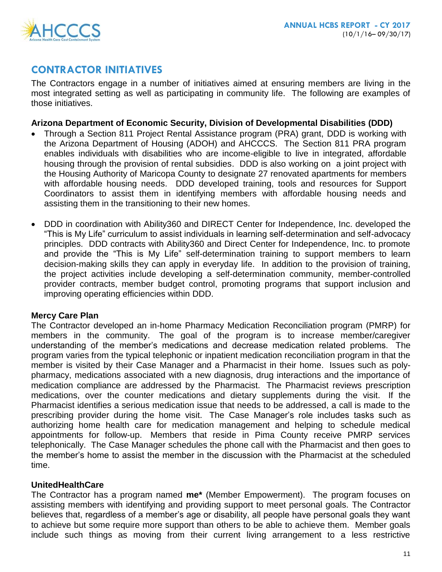# **CONTRACTOR INITIATIVES**

The Contractors engage in a number of initiatives aimed at ensuring members are living in the most integrated setting as well as participating in community life. The following are examples of those initiatives.

## **Arizona Department of Economic Security, Division of Developmental Disabilities (DDD)**

- Through a Section 811 Project Rental Assistance program (PRA) grant, DDD is working with the Arizona Department of Housing (ADOH) and AHCCCS. The Section 811 PRA program enables individuals with disabilities who are income-eligible to live in integrated, affordable housing through the provision of rental subsidies. DDD is also working on a joint project with the Housing Authority of Maricopa County to designate 27 renovated apartments for members with affordable housing needs. DDD developed training, tools and resources for Support Coordinators to assist them in identifying members with affordable housing needs and assisting them in the transitioning to their new homes.
- DDD in coordination with Ability360 and DIRECT Center for Independence, Inc. developed the "This is My Life" curriculum to assist individuals in learning self-determination and self-advocacy principles. DDD contracts with Ability360 and Direct Center for Independence, Inc. to promote and provide the "This is My Life" self-determination training to support members to learn decision-making skills they can apply in everyday life. In addition to the provision of training, the project activities include developing a self-determination community, member-controlled provider contracts, member budget control, promoting programs that support inclusion and improving operating efficiencies within DDD.

## **Mercy Care Plan**

The Contractor developed an in-home Pharmacy Medication Reconciliation program (PMRP) for members in the community. The goal of the program is to increase member/caregiver understanding of the member's medications and decrease medication related problems. The program varies from the typical telephonic or inpatient medication reconciliation program in that the member is visited by their Case Manager and a Pharmacist in their home. Issues such as polypharmacy, medications associated with a new diagnosis, drug interactions and the importance of medication compliance are addressed by the Pharmacist. The Pharmacist reviews prescription medications, over the counter medications and dietary supplements during the visit. If the Pharmacist identifies a serious medication issue that needs to be addressed, a call is made to the prescribing provider during the home visit. The Case Manager's role includes tasks such as authorizing home health care for medication management and helping to schedule medical appointments for follow-up. Members that reside in Pima County receive PMRP services telephonically. The Case Manager schedules the phone call with the Pharmacist and then goes to the member's home to assist the member in the discussion with the Pharmacist at the scheduled time.

## **UnitedHealthCare**

The Contractor has a program named **me\*** (Member Empowerment). The program focuses on assisting members with identifying and providing support to meet personal goals. The Contractor believes that, regardless of a member's age or disability, all people have personal goals they want to achieve but some require more support than others to be able to achieve them. Member goals include such things as moving from their current living arrangement to a less restrictive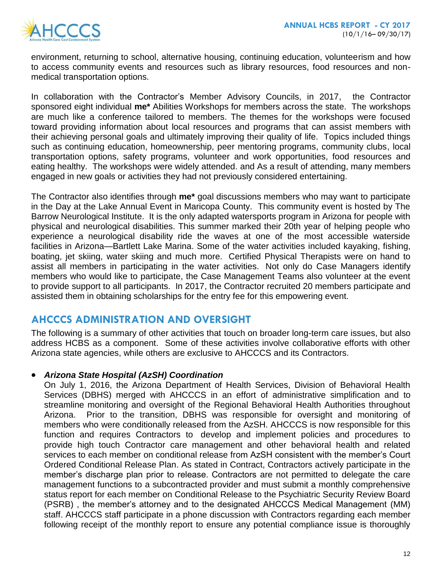

environment, returning to school, alternative housing, continuing education, volunteerism and how to access community events and resources such as library resources, food resources and nonmedical transportation options.

In collaboration with the Contractor's Member Advisory Councils, in 2017, the Contractor sponsored eight individual **me\*** Abilities Workshops for members across the state. The workshops are much like a conference tailored to members. The themes for the workshops were focused toward providing information about local resources and programs that can assist members with their achieving personal goals and ultimately improving their quality of life. Topics included things such as continuing education, homeownership, peer mentoring programs, community clubs, local transportation options, safety programs, volunteer and work opportunities, food resources and eating healthy. The workshops were widely attended. and As a result of attending, many members engaged in new goals or activities they had not previously considered entertaining.

The Contractor also identifies through **me\*** goal discussions members who may want to participate in the Day at the Lake Annual Event in Maricopa County. This community event is hosted by The Barrow Neurological Institute. It is the only adapted watersports program in Arizona for people with physical and neurological disabilities. This summer marked their 20th year of helping people who experience a neurological disability ride the waves at one of the most accessible waterside facilities in Arizona—Bartlett Lake Marina. Some of the water activities included kayaking, fishing, boating, jet skiing, water skiing and much more. Certified Physical Therapists were on hand to assist all members in participating in the water activities. Not only do Case Managers identify members who would like to participate, the Case Management Teams also volunteer at the event to provide support to all participants. In 2017, the Contractor recruited 20 members participate and assisted them in obtaining scholarships for the entry fee for this empowering event.

# **AHCCCS ADMINISTRATION AND OVERSIGHT**

The following is a summary of other activities that touch on broader long-term care issues, but also address HCBS as a component. Some of these activities involve collaborative efforts with other Arizona state agencies, while others are exclusive to AHCCCS and its Contractors.

## *Arizona State Hospital (AzSH) Coordination*

On July 1, 2016, the Arizona Department of Health Services, Division of Behavioral Health Services (DBHS) merged with AHCCCS in an effort of administrative simplification and to streamline monitoring and oversight of the Regional Behavioral Health Authorities throughout Arizona. Prior to the transition, DBHS was responsible for oversight and monitoring of members who were conditionally released from the AzSH. AHCCCS is now responsible for this function and requires Contractors to develop and implement policies and procedures to provide high touch Contractor care management and other behavioral health and related services to each member on conditional release from AzSH consistent with the member's Court Ordered Conditional Release Plan. As stated in Contract, Contractors actively participate in the member's discharge plan prior to release. Contractors are not permitted to delegate the care management functions to a subcontracted provider and must submit a monthly comprehensive status report for each member on Conditional Release to the Psychiatric Security Review Board (PSRB) , the member's attorney and to the designated AHCCCS Medical Management (MM) staff. AHCCCS staff participate in a phone discussion with Contractors regarding each member following receipt of the monthly report to ensure any potential compliance issue is thoroughly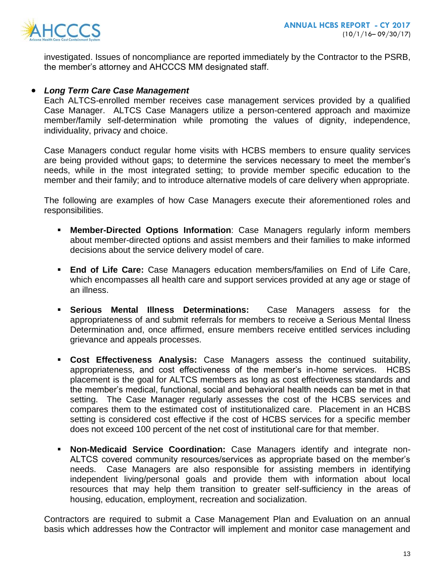

investigated. Issues of noncompliance are reported immediately by the Contractor to the PSRB, the member's attorney and AHCCCS MM designated staff.

#### *Long Term Care Case Management*

Each ALTCS-enrolled member receives case management services provided by a qualified Case Manager. ALTCS Case Managers utilize a person-centered approach and maximize member/family self-determination while promoting the values of dignity, independence, individuality, privacy and choice.

Case Managers conduct regular home visits with HCBS members to ensure quality services are being provided without gaps; to determine the services necessary to meet the member's needs, while in the most integrated setting; to provide member specific education to the member and their family; and to introduce alternative models of care delivery when appropriate.

The following are examples of how Case Managers execute their aforementioned roles and responsibilities.

- **Member-Directed Options Information**: Case Managers regularly inform members about member-directed options and assist members and their families to make informed decisions about the service delivery model of care.
- **End of Life Care:** Case Managers education members/families on End of Life Care, which encompasses all health care and support services provided at any age or stage of an illness.
- **Serious Mental Illness Determinations:** Case Managers assess for the appropriateness of and submit referrals for members to receive a Serious Mental Ilness Determination and, once affirmed, ensure members receive entitled services including grievance and appeals processes.
- **Cost Effectiveness Analysis:** Case Managers assess the continued suitability, appropriateness, and cost effectiveness of the member's in-home services. HCBS placement is the goal for ALTCS members as long as cost effectiveness standards and the member's medical, functional, social and behavioral health needs can be met in that setting. The Case Manager regularly assesses the cost of the HCBS services and compares them to the estimated cost of institutionalized care. Placement in an HCBS setting is considered cost effective if the cost of HCBS services for a specific member does not exceed 100 percent of the net cost of institutional care for that member.
- **Non-Medicaid Service Coordination:** Case Managers identify and integrate non-ALTCS covered community resources/services as appropriate based on the member's needs. Case Managers are also responsible for assisting members in identifying independent living/personal goals and provide them with information about local resources that may help them transition to greater self-sufficiency in the areas of housing, education, employment, recreation and socialization.

Contractors are required to submit a Case Management Plan and Evaluation on an annual basis which addresses how the Contractor will implement and monitor case management and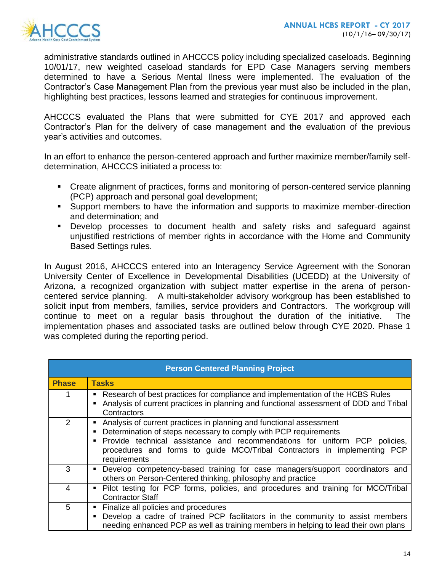

administrative standards outlined in AHCCCS policy including specialized caseloads. Beginning 10/01/17, new weighted caseload standards for EPD Case Managers serving members determined to have a Serious Mental Ilness were implemented. The evaluation of the Contractor's Case Management Plan from the previous year must also be included in the plan, highlighting best practices, lessons learned and strategies for continuous improvement.

AHCCCS evaluated the Plans that were submitted for CYE 2017 and approved each Contractor's Plan for the delivery of case management and the evaluation of the previous year's activities and outcomes.

In an effort to enhance the person-centered approach and further maximize member/family selfdetermination, AHCCCS initiated a process to:

- Create alignment of practices, forms and monitoring of person-centered service planning (PCP) approach and personal goal development;
- Support members to have the information and supports to maximize member-direction and determination; and
- Develop processes to document health and safety risks and safeguard against unjustified restrictions of member rights in accordance with the Home and Community Based Settings rules.

In August 2016, AHCCCS entered into an Interagency Service Agreement with the Sonoran University Center of Excellence in Developmental Disabilities (UCEDD) at the University of Arizona, a recognized organization with subject matter expertise in the arena of personcentered service planning. A multi-stakeholder advisory workgroup has been established to solicit input from members, families, service providers and Contractors. The workgroup will continue to meet on a regular basis throughout the duration of the initiative. The implementation phases and associated tasks are outlined below through CYE 2020. Phase 1 was completed during the reporting period.

| <b>Person Centered Planning Project</b> |                                                                                                                                                                                                                                                                                                                             |  |  |
|-----------------------------------------|-----------------------------------------------------------------------------------------------------------------------------------------------------------------------------------------------------------------------------------------------------------------------------------------------------------------------------|--|--|
| <b>Phase</b>                            | <b>Tasks</b>                                                                                                                                                                                                                                                                                                                |  |  |
|                                         | Research of best practices for compliance and implementation of the HCBS Rules<br>٠<br>Analysis of current practices in planning and functional assessment of DDD and Tribal<br>Contractors                                                                                                                                 |  |  |
| $\mathcal{P}$                           | Analysis of current practices in planning and functional assessment<br>п<br>Determination of steps necessary to comply with PCP requirements<br>Е<br>Provide technical assistance and recommendations for uniform PCP policies,<br>procedures and forms to guide MCO/Tribal Contractors in implementing PCP<br>requirements |  |  |
| 3                                       | Develop competency-based training for case managers/support coordinators and<br>Е<br>others on Person-Centered thinking, philosophy and practice                                                                                                                                                                            |  |  |
| 4                                       | Pilot testing for PCP forms, policies, and procedures and training for MCO/Tribal<br>٠<br><b>Contractor Staff</b>                                                                                                                                                                                                           |  |  |
| 5                                       | Finalize all policies and procedures<br>Е<br>Develop a cadre of trained PCP facilitators in the community to assist members<br>п<br>needing enhanced PCP as well as training members in helping to lead their own plans                                                                                                     |  |  |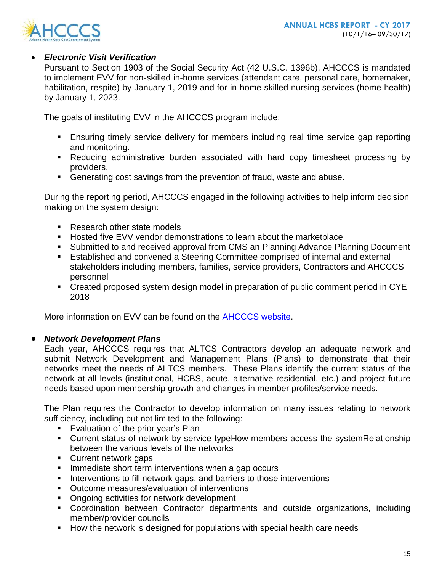

## *Electronic Visit Verification*

Pursuant to Section 1903 of the Social Security Act (42 U.S.C. 1396b), AHCCCS is mandated to implement EVV for non-skilled in-home services (attendant care, personal care, homemaker, habilitation, respite) by January 1, 2019 and for in-home skilled nursing services (home health) by January 1, 2023.

The goals of instituting EVV in the AHCCCS program include:

- Ensuring timely service delivery for members including real time service gap reporting and monitoring.
- Reducing administrative burden associated with hard copy timesheet processing by providers.
- Generating cost savings from the prevention of fraud, waste and abuse.

During the reporting period, AHCCCS engaged in the following activities to help inform decision making on the system design:

- Research other state models
- **Hosted five EVV vendor demonstrations to learn about the marketplace**
- Submitted to and received approval from CMS an Planning Advance Planning Document
- Established and convened a Steering Committee comprised of internal and external stakeholders including members, families, service providers, Contractors and AHCCCS personnel
- Created proposed system design model in preparation of public comment period in CYE 2018

More information on EVV can be found on the [AHCCCS website.](http://www.azahcccs.gov/evv)

## *Network Development Plans*

Each year, AHCCCS requires that ALTCS Contractors develop an adequate network and submit Network Development and Management Plans (Plans) to demonstrate that their networks meet the needs of ALTCS members. These Plans identify the current status of the network at all levels (institutional, HCBS, acute, alternative residential, etc.) and project future needs based upon membership growth and changes in member profiles/service needs.

The Plan requires the Contractor to develop information on many issues relating to network sufficiency, including but not limited to the following:

- **Evaluation of the prior year's Plan**
- Current status of network by service typeHow members access the systemRelationship between the various levels of the networks
- **Current network gaps**
- **IMMEDIATE:** Immediate short term interventions when a gap occurs
- Interventions to fill network gaps, and barriers to those interventions
- **Outcome measures/evaluation of interventions**
- **Ongoing activities for network development**
- Coordination between Contractor departments and outside organizations, including member/provider councils
- How the network is designed for populations with special health care needs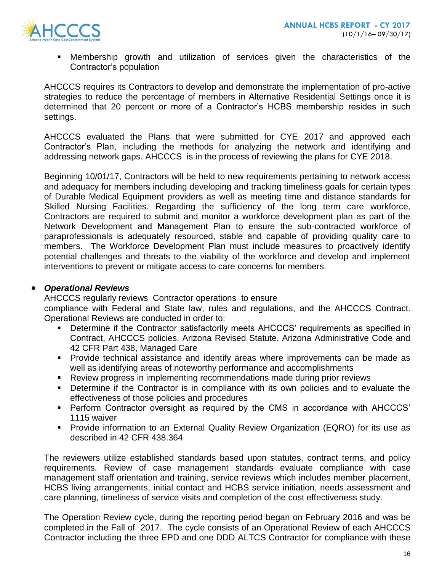

 Membership growth and utilization of services given the characteristics of the Contractor's population

AHCCCS requires its Contractors to develop and demonstrate the implementation of pro-active strategies to reduce the percentage of members in Alternative Residential Settings once it is determined that 20 percent or more of a Contractor's HCBS membership resides in such settings.

AHCCCS evaluated the Plans that were submitted for CYE 2017 and approved each Contractor's Plan, including the methods for analyzing the network and identifying and addressing network gaps. AHCCCS is in the process of reviewing the plans for CYE 2018.

Beginning 10/01/17, Contractors will be held to new requirements pertaining to network access and adequacy for members including developing and tracking timeliness goals for certain types of Durable Medical Equipment providers as well as meeting time and distance standards for Skilled Nursing Facilities. Regarding the sufficiency of the long term care workforce, Contractors are required to submit and monitor a workforce development plan as part of the Network Development and Management Plan to ensure the sub-contracted workforce of paraprofessionals is adequately resourced, stable and capable of providing quality care to members. The Workforce Development Plan must include measures to proactively identify potential challenges and threats to the viability of the workforce and develop and implement interventions to prevent or mitigate access to care concerns for members.

## *Operational Reviews*

AHCCCS regularly reviews Contractor operations to ensure

compliance with Federal and State law, rules and regulations, and the AHCCCS Contract. Operational Reviews are conducted in order to:

- Determine if the Contractor satisfactorily meets AHCCCS' requirements as specified in Contract, AHCCCS policies, Arizona Revised Statute, Arizona Administrative Code and 42 CFR Part 438, Managed Care
- **Provide technical assistance and identify areas where improvements can be made as** well as identifying areas of noteworthy performance and accomplishments
- Review progress in implementing recommendations made during prior reviews
- **Determine if the Contractor is in compliance with its own policies and to evaluate the** effectiveness of those policies and procedures
- Perform Contractor oversight as required by the CMS in accordance with AHCCCS' 1115 waiver
- **Provide information to an External Quality Review Organization (EQRO) for its use as** described in 42 CFR 438.364

The reviewers utilize established standards based upon statutes, contract terms, and policy requirements. Review of case management standards evaluate compliance with case management staff orientation and training, service reviews which includes member placement, HCBS living arrangements, initial contact and HCBS service initiation, needs assessment and care planning, timeliness of service visits and completion of the cost effectiveness study.

The Operation Review cycle, during the reporting period began on February 2016 and was be completed in the Fall of 2017. The cycle consists of an Operational Review of each AHCCCS Contractor including the three EPD and one DDD ALTCS Contractor for compliance with these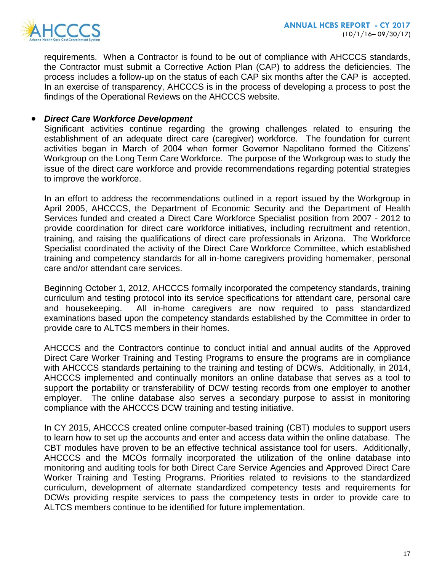

requirements. When a Contractor is found to be out of compliance with AHCCCS standards, the Contractor must submit a Corrective Action Plan (CAP) to address the deficiencies. The process includes a follow-up on the status of each CAP six months after the CAP is accepted. In an exercise of transparency, AHCCCS is in the process of developing a process to post the findings of the Operational Reviews on the AHCCCS website.

#### *Direct Care Workforce Development*

Significant activities continue regarding the growing challenges related to ensuring the establishment of an adequate direct care (caregiver) workforce. The foundation for current activities began in March of 2004 when former Governor Napolitano formed the Citizens' Workgroup on the Long Term Care Workforce. The purpose of the Workgroup was to study the issue of the direct care workforce and provide recommendations regarding potential strategies to improve the workforce.

In an effort to address the recommendations outlined in a report issued by the Workgroup in April 2005, AHCCCS, the Department of Economic Security and the Department of Health Services funded and created a Direct Care Workforce Specialist position from 2007 - 2012 to provide coordination for direct care workforce initiatives, including recruitment and retention, training, and raising the qualifications of direct care professionals in Arizona. The Workforce Specialist coordinated the activity of the Direct Care Workforce Committee, which established training and competency standards for all in-home caregivers providing homemaker, personal care and/or attendant care services.

Beginning October 1, 2012, AHCCCS formally incorporated the competency standards, training curriculum and testing protocol into its service specifications for attendant care, personal care and housekeeping. All in-home caregivers are now required to pass standardized examinations based upon the competency standards established by the Committee in order to provide care to ALTCS members in their homes.

AHCCCS and the Contractors continue to conduct initial and annual audits of the Approved Direct Care Worker Training and Testing Programs to ensure the programs are in compliance with AHCCCS standards pertaining to the training and testing of DCWs. Additionally, in 2014, AHCCCS implemented and continually monitors an online database that serves as a tool to support the portability or transferability of DCW testing records from one employer to another employer. The online database also serves a secondary purpose to assist in monitoring compliance with the AHCCCS DCW training and testing initiative.

In CY 2015, AHCCCS created online computer-based training (CBT) modules to support users to learn how to set up the accounts and enter and access data within the online database. The CBT modules have proven to be an effective technical assistance tool for users. Additionally, AHCCCS and the MCOs formally incorporated the utilization of the online database into monitoring and auditing tools for both Direct Care Service Agencies and Approved Direct Care Worker Training and Testing Programs. Priorities related to revisions to the standardized curriculum, development of alternate standardized competency tests and requirements for DCWs providing respite services to pass the competency tests in order to provide care to ALTCS members continue to be identified for future implementation.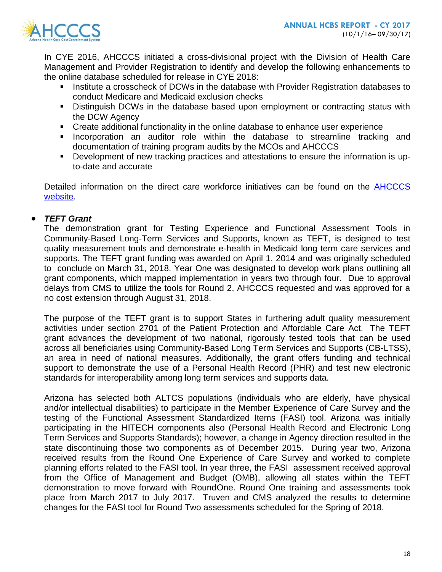

In CYE 2016, AHCCCS initiated a cross-divisional project with the Division of Health Care Management and Provider Registration to identify and develop the following enhancements to the online database scheduled for release in CYE 2018:

- Institute a crosscheck of DCWs in the database with Provider Registration databases to conduct Medicare and Medicaid exclusion checks
- **Distinguish DCWs in the database based upon employment or contracting status with** the DCW Agency
- Create additional functionality in the online database to enhance user experience
- **Incorporation an auditor role within the database to streamline tracking and** documentation of training program audits by the MCOs and AHCCCS
- Development of new tracking practices and attestations to ensure the information is upto-date and accurate

Detailed information on the direct care workforce initiatives can be found on the **AHCCCS** [website.](https://www.azahcccs.gov/PlansProviders/CurrentProviders/DCW/)

## *TEFT Grant*

The demonstration grant for Testing Experience and Functional Assessment Tools in Community-Based Long-Term Services and Supports, known as TEFT, is designed to test quality measurement tools and demonstrate e-health in Medicaid long term care services and supports. The TEFT grant funding was awarded on April 1, 2014 and was originally scheduled to conclude on March 31, 2018. Year One was designated to develop work plans outlining all grant components, which mapped implementation in years two through four. Due to approval delays from CMS to utilize the tools for Round 2, AHCCCS requested and was approved for a no cost extension through August 31, 2018.

The purpose of the TEFT grant is to support States in furthering adult quality measurement activities under section 2701 of the Patient Protection and Affordable Care Act. The TEFT grant advances the development of two national, rigorously tested tools that can be used across all beneficiaries using Community-Based Long Term Services and Supports (CB-LTSS), an area in need of national measures. Additionally, the grant offers funding and technical support to demonstrate the use of a Personal Health Record (PHR) and test new electronic standards for interoperability among long term services and supports data.

Arizona has selected both ALTCS populations (individuals who are elderly, have physical and/or intellectual disabilities) to participate in the Member Experience of Care Survey and the testing of the Functional Assessment Standardized Items (FASI) tool. Arizona was initially participating in the HITECH components also (Personal Health Record and Electronic Long Term Services and Supports Standards); however, a change in Agency direction resulted in the state discontinuing those two components as of December 2015. During year two, Arizona received results from the Round One Experience of Care Survey and worked to complete planning efforts related to the FASI tool. In year three, the FASI assessment received approval from the Office of Management and Budget (OMB), allowing all states within the TEFT demonstration to move forward with RoundOne. Round One training and assessments took place from March 2017 to July 2017. Truven and CMS analyzed the results to determine changes for the FASI tool for Round Two assessments scheduled for the Spring of 2018.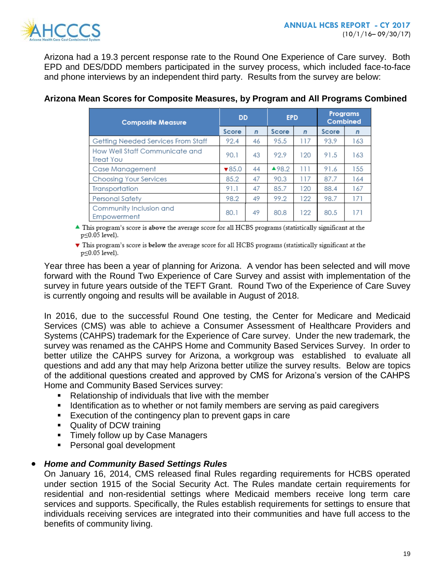

Arizona had a 19.3 percent response rate to the Round One Experience of Care survey. Both EPD and DES/DDD members participated in the survey process, which included face-to-face and phone interviews by an independent third party. Results from the survey are below:

| <b>Composite Measure</b>                    |                           | <b>DD</b>    |       | <b>EPD</b>     |       | <b>Programs</b><br><b>Combined</b> |  |
|---------------------------------------------|---------------------------|--------------|-------|----------------|-------|------------------------------------|--|
|                                             | Score                     | $\mathsf{n}$ | Score | $\overline{ }$ | Score | $\mathbf n$                        |  |
| Getting Needed Services From Staff          | 92.4                      | 46           | 95.5  | 117            | 93.9  | 163                                |  |
| How Well Staff Communicate and<br>Treat You | 90.1                      | 43           | 92.9  | 120            | 91.5  | 163                                |  |
| Case Management                             | $\blacktriangledown 85.0$ | 44           | ▲98.2 | Ш              | 91.6  | 155                                |  |
| Choosing Your Services                      | 85.2                      | 47           | 90.3  | 117            | 87.7  | 164                                |  |
| Transportation                              | 91.1                      | 47           | 85.7  | 120            | 88.4  | 167                                |  |
| <b>Personal Safety</b>                      | 98.2                      | 49           | 99.2  | 122            | 98.7  | 171                                |  |
| Community Inclusion and<br>Empowerment      | 80.1                      | 49           | 80.8  | 122            | 80.5  | 171                                |  |

## **Arizona Mean Scores for Composite Measures, by Program and All Programs Combined**

 $\triangle$  This program's score is above the average score for all HCBS programs (statistically significant at the  $p \le 0.05$  level).

This program's score is below the average score for all HCBS programs (statistically significant at the p≤0.05 level).

Year three has been a year of planning for Arizona. A vendor has been selected and will move forward with the Round Two Experience of Care Survey and assist with implementation of the survey in future years outside of the TEFT Grant. Round Two of the Experience of Care Suvey is currently ongoing and results will be available in August of 2018.

In 2016, due to the successful Round One testing, the Center for Medicare and Medicaid Services (CMS) was able to achieve a Consumer Assessment of Healthcare Providers and Systems (CAHPS) trademark for the Experience of Care survey. Under the new trademark, the survey was renamed as the CAHPS Home and Community Based Services Survey. In order to better utilize the CAHPS survey for Arizona, a workgroup was established to evaluate all questions and add any that may help Arizona better utilize the survey results. Below are topics of the additional questions created and approved by CMS for Arizona's version of the CAHPS Home and Community Based Services survey:

- Relationship of individuals that live with the member
- **IDENTIFY IDENTIFY 10 IS A THE IS NOTEN IS NOTEN.** I dentification as paid caregivers
- **Execution of the contingency plan to prevent gaps in care**
- Quality of DCW training
- **Timely follow up by Case Managers**
- **Personal goal development**

## *Home and Community Based Settings Rules*

On January 16, 2014, CMS released final Rules regarding requirements for HCBS operated under section 1915 of the Social Security Act. The Rules mandate certain requirements for residential and non-residential settings where Medicaid members receive long term care services and supports. Specifically, the Rules establish requirements for settings to ensure that individuals receiving services are integrated into their communities and have full access to the benefits of community living.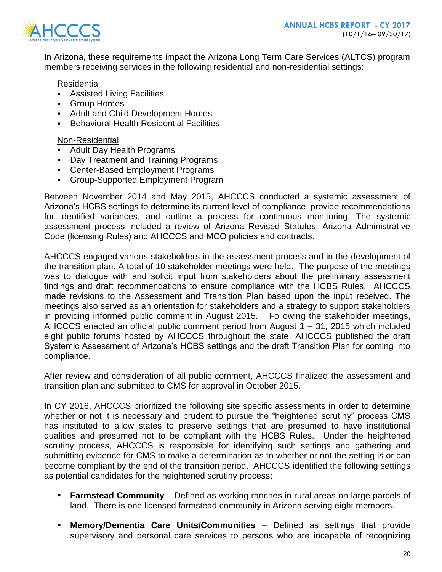

In Arizona, these requirements impact the Arizona Long Term Care Services (ALTCS) program members receiving services in the following residential and non-residential settings:

Residential

- Assisted Living Facilities
- Group Homes
- Adult and Child Development Homes
- Behavioral Health Residential Facilities

#### Non-Residential

- Adult Day Health Programs
- Day Treatment and Training Programs
- Center-Based Employment Programs
- Group-Supported Employment Program

Between November 2014 and May 2015, AHCCCS conducted a systemic assessment of Arizona's HCBS settings to determine its current level of compliance, provide recommendations for identified variances, and outline a process for continuous monitoring. The systemic assessment process included a review of Arizona Revised Statutes, Arizona Administrative Code (licensing Rules) and AHCCCS and MCO policies and contracts.

AHCCCS engaged various stakeholders in the assessment process and in the development of the transition plan. A total of 10 stakeholder meetings were held. The purpose of the meetings was to dialogue with and solicit input from stakeholders about the preliminary assessment findings and draft recommendations to ensure compliance with the HCBS Rules. AHCCCS made revisions to the Assessment and Transition Plan based upon the input received. The meetings also served as an orientation for stakeholders and a strategy to support stakeholders in providing informed public comment in August 2015. Following the stakeholder meetings, AHCCCS enacted an official public comment period from August  $1 - 31$ , 2015 which included eight public forums hosted by AHCCCS throughout the state. AHCCCS published the draft Systemic Assessment of Arizona's HCBS settings and the draft Transition Plan for coming into compliance.

After review and consideration of all public comment, AHCCCS finalized the assessment and transition plan and submitted to CMS for approval in October 2015.

In CY 2016, AHCCCS prioritized the following site specific assessments in order to determine whether or not it is necessary and prudent to pursue the "heightened scrutiny" process CMS has instituted to allow states to preserve settings that are presumed to have institutional qualities and presumed not to be compliant with the HCBS Rules. Under the heightened scrutiny process, AHCCCS is responsible for identifying such settings and gathering and submitting evidence for CMS to make a determination as to whether or not the setting is or can become compliant by the end of the transition period. AHCCCS identified the following settings as potential candidates for the heightened scrutiny process:

- **Farmstead Community** Defined as working ranches in rural areas on large parcels of land. There is one licensed farmstead community in Arizona serving eight members.
- **Memory/Dementia Care Units/Communities** Defined as settings that provide supervisory and personal care services to persons who are incapable of recognizing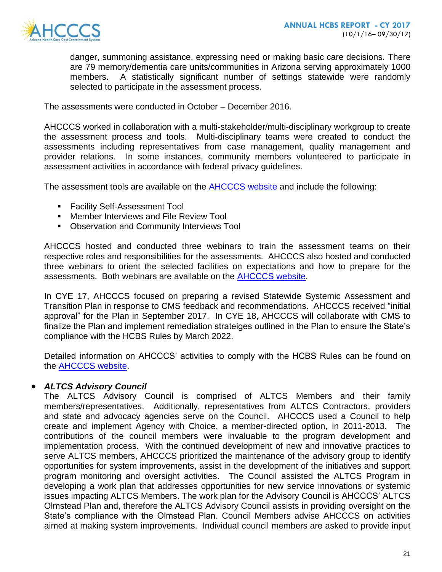

danger, summoning assistance, expressing need or making basic care decisions. There are 79 memory/dementia care units/communities in Arizona serving approximately 1000 members. A statistically significant number of settings statewide were randomly selected to participate in the assessment process.

The assessments were conducted in October – December 2016.

AHCCCS worked in collaboration with a multi-stakeholder/multi-disciplinary workgroup to create the assessment process and tools. Multi-disciplinary teams were created to conduct the assessments including representatives from case management, quality management and provider relations. In some instances, community members volunteered to participate in assessment activities in accordance with federal privacy guidelines.

The assessment tools are available on the **AHCCCS website** and include the following:

- **Facility Self-Assessment Tool**
- **EXECT** Member Interviews and File Review Tool
- **Observation and Community Interviews Tool**

AHCCCS hosted and conducted three webinars to train the assessment teams on their respective roles and responsibilities for the assessments. AHCCCS also hosted and conducted three webinars to orient the selected facilities on expectations and how to prepare for the assessments. Both webinars are available on the [AHCCCS website.](https://www.azahcccs.gov/shared/HCBS/)

In CYE 17, AHCCCS focused on preparing a revised Statewide Systemic Assessment and Transition Plan in response to CMS feedback and recommendations. AHCCCS received "initial approval" for the Plan in September 2017. In CYE 18, AHCCCS will collaborate with CMS to finalize the Plan and implement remediation strateiges outlined in the Plan to ensure the State's compliance with the HCBS Rules by March 2022.

Detailed information on AHCCCS' activities to comply with the HCBS Rules can be found on the [AHCCCS website.](https://www.azahcccs.gov/shared/HCBS/)

## *ALTCS Advisory Council*

The ALTCS Advisory Council is comprised of ALTCS Members and their family members/representatives. Additionally, representatives from ALTCS Contractors, providers and state and advocacy agencies serve on the Council. AHCCCS used a Council to help create and implement Agency with Choice, a member-directed option, in 2011-2013. The contributions of the council members were invaluable to the program development and implementation process. With the continued development of new and innovative practices to serve ALTCS members, AHCCCS prioritized the maintenance of the advisory group to identify opportunities for system improvements, assist in the development of the initiatives and support program monitoring and oversight activities. The Council assisted the ALTCS Program in developing a work plan that addresses opportunities for new service innovations or systemic issues impacting ALTCS Members. The work plan for the Advisory Council is AHCCCS' ALTCS Olmstead Plan and, therefore the ALTCS Advisory Council assists in providing oversight on the State's compliance with the Olmstead Plan. Council Members advise AHCCCS on activities aimed at making system improvements. Individual council members are asked to provide input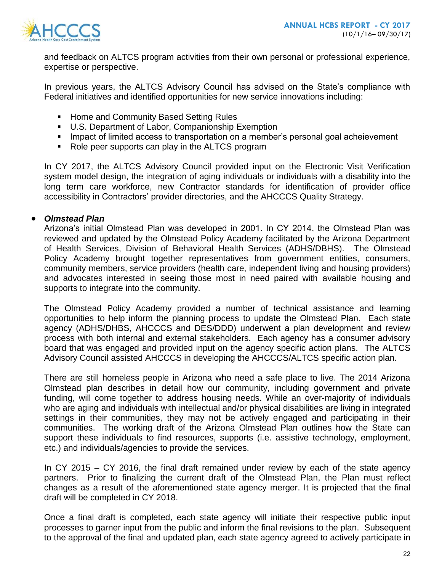

and feedback on ALTCS program activities from their own personal or professional experience, expertise or perspective.

In previous years, the ALTCS Advisory Council has advised on the State's compliance with Federal initiatives and identified opportunities for new service innovations including:

- **EXEDENT Home and Community Based Setting Rules**
- U.S. Department of Labor, Companionship Exemption
- **IMPACT 10** Impact of limited access to transportation on a member's personal goal acheievement
- Role peer supports can play in the ALTCS program

In CY 2017, the ALTCS Advisory Council provided input on the Electronic Visit Verification system model design, the integration of aging individuals or individuals with a disability into the long term care workforce, new Contractor standards for identification of provider office accessibility in Contractors' provider directories, and the AHCCCS Quality Strategy.

#### *Olmstead Plan*

Arizona's initial Olmstead Plan was developed in 2001. In CY 2014, the Olmstead Plan was reviewed and updated by the Olmstead Policy Academy facilitated by the Arizona Department of Health Services, Division of Behavioral Health Services (ADHS/DBHS). The Olmstead Policy Academy brought together representatives from government entities, consumers, community members, service providers (health care, independent living and housing providers) and advocates interested in seeing those most in need paired with available housing and supports to integrate into the community.

The Olmstead Policy Academy provided a number of technical assistance and learning opportunities to help inform the planning process to update the Olmstead Plan. Each state agency (ADHS/DHBS, AHCCCS and DES/DDD) underwent a plan development and review process with both internal and external stakeholders. Each agency has a consumer advisory board that was engaged and provided input on the agency specific action plans. The ALTCS Advisory Council assisted AHCCCS in developing the AHCCCS/ALTCS specific action plan.

There are still homeless people in Arizona who need a safe place to live. The 2014 Arizona Olmstead plan describes in detail how our community, including government and private funding, will come together to address housing needs. While an over-majority of individuals who are aging and individuals with intellectual and/or physical disabilities are living in integrated settings in their communities, they may not be actively engaged and participating in their communities. The working draft of the Arizona Olmstead Plan outlines how the State can support these individuals to find resources, supports (i.e. assistive technology, employment, etc.) and individuals/agencies to provide the services.

In CY 2015 – CY 2016, the final draft remained under review by each of the state agency partners. Prior to finalizing the current draft of the Olmstead Plan, the Plan must reflect changes as a result of the aforementioned state agency merger. It is projected that the final draft will be completed in CY 2018.

Once a final draft is completed, each state agency will initiate their respective public input processes to garner input from the public and inform the final revisions to the plan. Subsequent to the approval of the final and updated plan, each state agency agreed to actively participate in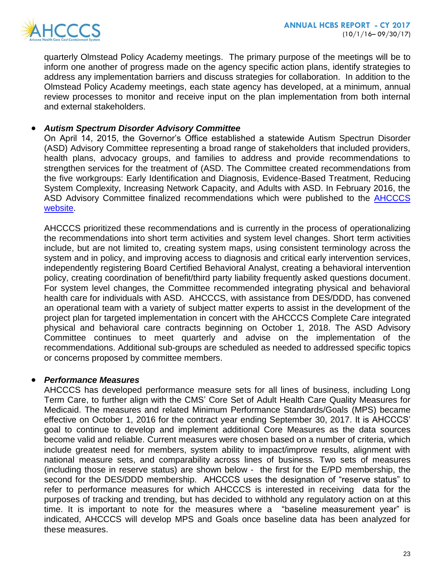

quarterly Olmstead Policy Academy meetings. The primary purpose of the meetings will be to inform one another of progress made on the agency specific action plans, identify strategies to address any implementation barriers and discuss strategies for collaboration. In addition to the Olmstead Policy Academy meetings, each state agency has developed, at a minimum, annual review processes to monitor and receive input on the plan implementation from both internal and external stakeholders.

#### *Autism Spectrum Disorder Advisory Committee*

On April 14, 2015, the Governor's Office established a statewide Autism Spectrun Disorder (ASD) Advisory Committee representing a broad range of stakeholders that included providers, health plans, advocacy groups, and families to address and provide recommendations to strengthen services for the treatment of (ASD. The Committee created recommendations from the five workgroups: Early Identification and Diagnosis, Evidence-Based Treatment, Reducing System Complexity, Increasing Network Capacity, and Adults with ASD. In February 2016, the ASD Advisory Committee finalized recommendations which were published to the [AHCCCS](https://www.azahcccs.gov/shared/ASD.html)  [website.](https://www.azahcccs.gov/shared/ASD.html)

AHCCCS prioritized these recommendations and is currently in the process of operationalizing the recommendations into short term activities and system level changes. Short term activities include, but are not limited to, creating system maps, using consistent terminology across the system and in policy, and improving access to diagnosis and critical early intervention services, independently registering Board Certified Behavioral Analyst, creating a behavioral intervention policy, creating coordination of benefit/third party liability frequently asked questions document. For system level changes, the Committee recommended integrating physical and behavioral health care for individuals with ASD. AHCCCS, with assistance from DES/DDD, has convened an operational team with a variety of subject matter experts to assist in the development of the project plan for targeted implementation in concert with the AHCCCS Complete Care integrated physical and behavioral care contracts beginning on October 1, 2018. The ASD Advisory Committee continues to meet quarterly and advise on the implementation of the recommendations. Additional sub-groups are scheduled as needed to addressed specific topics or concerns proposed by committee members.

#### *Performance Measures*

AHCCCS has developed performance measure sets for all lines of business, including Long Term Care, to further align with the CMS' Core Set of Adult Health Care Quality Measures for Medicaid. The measures and related Minimum Performance Standards/Goals (MPS) became effective on October 1, 2016 for the contract year ending September 30, 2017. It is AHCCCS' goal to continue to develop and implement additional Core Measures as the data sources become valid and reliable. Current measures were chosen based on a number of criteria, which include greatest need for members, system ability to impact/improve results, alignment with national measure sets, and comparability across lines of business. Two sets of measures (including those in reserve status) are shown below - the first for the E/PD membership, the second for the DES/DDD membership. AHCCCS uses the designation of "reserve status" to refer to performance measures for which AHCCCS is interested in receiving data for the purposes of tracking and trending, but has decided to withhold any regulatory action on at this time. It is important to note for the measures where a "baseline measurement year" is indicated, AHCCCS will develop MPS and Goals once baseline data has been analyzed for these measures.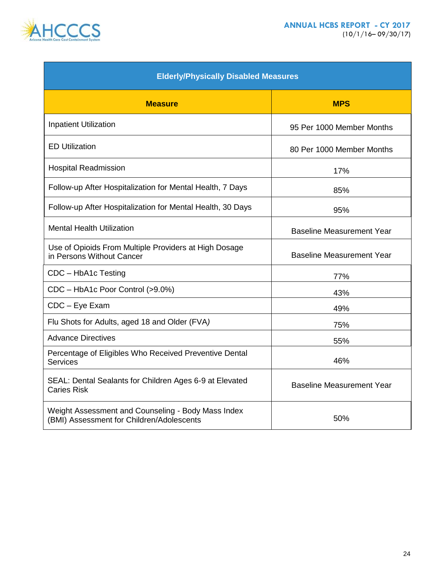



| <b>Elderly/Physically Disabled Measures</b>                                                     |                                  |  |  |  |  |
|-------------------------------------------------------------------------------------------------|----------------------------------|--|--|--|--|
| <b>Measure</b>                                                                                  | <b>MPS</b>                       |  |  |  |  |
| <b>Inpatient Utilization</b>                                                                    | 95 Per 1000 Member Months        |  |  |  |  |
| <b>ED Utilization</b>                                                                           | 80 Per 1000 Member Months        |  |  |  |  |
| <b>Hospital Readmission</b>                                                                     | 17%                              |  |  |  |  |
| Follow-up After Hospitalization for Mental Health, 7 Days                                       | 85%                              |  |  |  |  |
| Follow-up After Hospitalization for Mental Health, 30 Days                                      | 95%                              |  |  |  |  |
| <b>Mental Health Utilization</b>                                                                | <b>Baseline Measurement Year</b> |  |  |  |  |
| Use of Opioids From Multiple Providers at High Dosage<br>in Persons Without Cancer              | <b>Baseline Measurement Year</b> |  |  |  |  |
| CDC - HbA1c Testing                                                                             | 77%                              |  |  |  |  |
| CDC - HbA1c Poor Control (>9.0%)                                                                | 43%                              |  |  |  |  |
| CDC - Eye Exam                                                                                  | 49%                              |  |  |  |  |
| Flu Shots for Adults, aged 18 and Older (FVA)                                                   | 75%                              |  |  |  |  |
| <b>Advance Directives</b>                                                                       | 55%                              |  |  |  |  |
| Percentage of Eligibles Who Received Preventive Dental<br><b>Services</b>                       | 46%                              |  |  |  |  |
| SEAL: Dental Sealants for Children Ages 6-9 at Elevated<br><b>Caries Risk</b>                   | <b>Baseline Measurement Year</b> |  |  |  |  |
| Weight Assessment and Counseling - Body Mass Index<br>(BMI) Assessment for Children/Adolescents | 50%                              |  |  |  |  |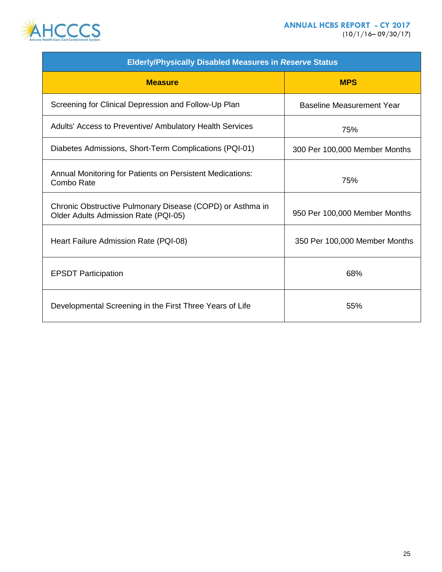



| <b>Elderly/Physically Disabled Measures in Reserve Status</b>                                     |                                  |  |  |  |
|---------------------------------------------------------------------------------------------------|----------------------------------|--|--|--|
| <b>Measure</b>                                                                                    | <b>MPS</b>                       |  |  |  |
| Screening for Clinical Depression and Follow-Up Plan                                              | <b>Baseline Measurement Year</b> |  |  |  |
| Adults' Access to Preventive/ Ambulatory Health Services                                          | 75%                              |  |  |  |
| Diabetes Admissions, Short-Term Complications (PQI-01)                                            | 300 Per 100,000 Member Months    |  |  |  |
| Annual Monitoring for Patients on Persistent Medications:<br>Combo Rate                           | 75%                              |  |  |  |
| Chronic Obstructive Pulmonary Disease (COPD) or Asthma in<br>Older Adults Admission Rate (PQI-05) | 950 Per 100,000 Member Months    |  |  |  |
| Heart Failure Admission Rate (PQI-08)                                                             | 350 Per 100,000 Member Months    |  |  |  |
| <b>EPSDT Participation</b>                                                                        | 68%                              |  |  |  |
| Developmental Screening in the First Three Years of Life                                          | 55%                              |  |  |  |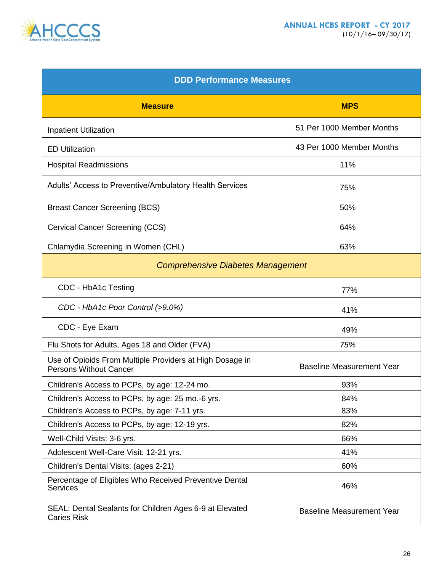

| <b>DDD Performance Measures</b>                                                           |                                  |  |  |  |
|-------------------------------------------------------------------------------------------|----------------------------------|--|--|--|
| <b>Measure</b>                                                                            | <b>MPS</b>                       |  |  |  |
| <b>Inpatient Utilization</b>                                                              | 51 Per 1000 Member Months        |  |  |  |
| <b>ED Utilization</b>                                                                     | 43 Per 1000 Member Months        |  |  |  |
| <b>Hospital Readmissions</b>                                                              | 11%                              |  |  |  |
| Adults' Access to Preventive/Ambulatory Health Services                                   | 75%                              |  |  |  |
| <b>Breast Cancer Screening (BCS)</b>                                                      | 50%                              |  |  |  |
| Cervical Cancer Screening (CCS)                                                           | 64%                              |  |  |  |
| Chlamydia Screening in Women (CHL)                                                        | 63%                              |  |  |  |
| <b>Comprehensive Diabetes Management</b>                                                  |                                  |  |  |  |
| CDC - HbA1c Testing                                                                       | 77%                              |  |  |  |
| CDC - HbA1c Poor Control (>9.0%)                                                          | 41%                              |  |  |  |
| CDC - Eye Exam                                                                            | 49%                              |  |  |  |
| Flu Shots for Adults, Ages 18 and Older (FVA)                                             | 75%                              |  |  |  |
| Use of Opioids From Multiple Providers at High Dosage in<br><b>Persons Without Cancer</b> | <b>Baseline Measurement Year</b> |  |  |  |
| Children's Access to PCPs, by age: 12-24 mo.                                              | 93%                              |  |  |  |
| Children's Access to PCPs, by age: 25 mo.-6 yrs.                                          | 84%                              |  |  |  |
| Children's Access to PCPs, by age: 7-11 yrs.                                              | 83%                              |  |  |  |
| Children's Access to PCPs, by age: 12-19 yrs.                                             | 82%                              |  |  |  |
| Well-Child Visits: 3-6 yrs.                                                               | 66%                              |  |  |  |
| Adolescent Well-Care Visit: 12-21 yrs.                                                    | 41%                              |  |  |  |
| Children's Dental Visits: (ages 2-21)                                                     | 60%                              |  |  |  |
| Percentage of Eligibles Who Received Preventive Dental<br><b>Services</b>                 | 46%                              |  |  |  |
| SEAL: Dental Sealants for Children Ages 6-9 at Elevated<br><b>Caries Risk</b>             | <b>Baseline Measurement Year</b> |  |  |  |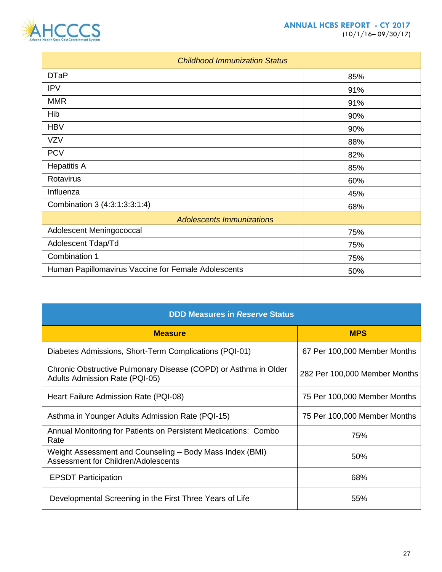



| <b>Childhood Immunization Status</b>                |     |  |  |  |
|-----------------------------------------------------|-----|--|--|--|
| <b>DTaP</b>                                         | 85% |  |  |  |
| <b>IPV</b>                                          | 91% |  |  |  |
| <b>MMR</b>                                          | 91% |  |  |  |
| Hib                                                 | 90% |  |  |  |
| <b>HBV</b>                                          | 90% |  |  |  |
| <b>VZV</b>                                          | 88% |  |  |  |
| <b>PCV</b>                                          | 82% |  |  |  |
| <b>Hepatitis A</b>                                  | 85% |  |  |  |
| Rotavirus                                           | 60% |  |  |  |
| Influenza                                           | 45% |  |  |  |
| Combination 3 (4:3:1:3:3:1:4)                       | 68% |  |  |  |
| <b>Adolescents Immunizations</b>                    |     |  |  |  |
| Adolescent Meningococcal                            | 75% |  |  |  |
| Adolescent Tdap/Td                                  | 75% |  |  |  |
| Combination 1                                       | 75% |  |  |  |
| Human Papillomavirus Vaccine for Female Adolescents | 50% |  |  |  |

| <b>DDD Measures in Reserve Status</b>                                                                    |                               |  |  |  |
|----------------------------------------------------------------------------------------------------------|-------------------------------|--|--|--|
| <b>Measure</b>                                                                                           | <b>MPS</b>                    |  |  |  |
| Diabetes Admissions, Short-Term Complications (PQI-01)                                                   | 67 Per 100,000 Member Months  |  |  |  |
| Chronic Obstructive Pulmonary Disease (COPD) or Asthma in Older<br><b>Adults Admission Rate (PQI-05)</b> | 282 Per 100,000 Member Months |  |  |  |
| Heart Failure Admission Rate (PQI-08)                                                                    | 75 Per 100,000 Member Months  |  |  |  |
| Asthma in Younger Adults Admission Rate (PQI-15)                                                         | 75 Per 100,000 Member Months  |  |  |  |
| Annual Monitoring for Patients on Persistent Medications: Combo<br>Rate                                  | 75%                           |  |  |  |
| Weight Assessment and Counseling – Body Mass Index (BMI)<br>Assessment for Children/Adolescents          | 50%                           |  |  |  |
| <b>EPSDT Participation</b>                                                                               | 68%                           |  |  |  |
| Developmental Screening in the First Three Years of Life                                                 | 55%                           |  |  |  |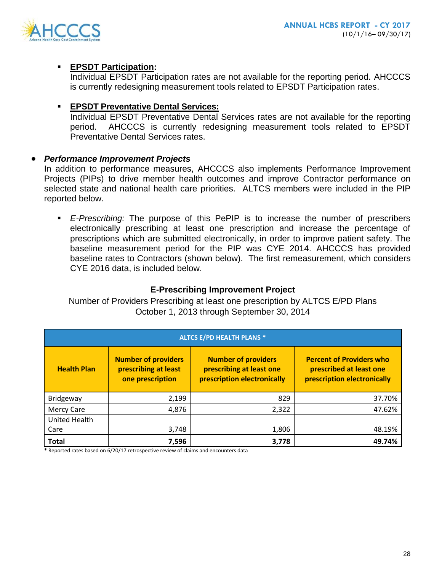

## **EPSDT Participation:**

Individual EPSDT Participation rates are not available for the reporting period. AHCCCS is currently redesigning measurement tools related to EPSDT Participation rates.

## **EPSDT Preventative Dental Services:**

Individual EPSDT Preventative Dental Services rates are not available for the reporting period. AHCCCS is currently redesigning measurement tools related to EPSDT Preventative Dental Services rates.

## *Performance Improvement Projects*

In addition to performance measures, AHCCCS also implements Performance Improvement Projects (PIPs) to drive member health outcomes and improve Contractor performance on selected state and national health care priorities. ALTCS members were included in the PIP reported below.

 *E-Prescribing:* The purpose of this PePIP is to increase the number of prescribers electronically prescribing at least one prescription and increase the percentage of prescriptions which are submitted electronically, in order to improve patient safety. The baseline measurement period for the PIP was CYE 2014. AHCCCS has provided baseline rates to Contractors (shown below). The first remeasurement, which considers CYE 2016 data, is included below.

## **E-Prescribing Improvement Project**

Number of Providers Prescribing at least one prescription by ALTCS E/PD Plans October 1, 2013 through September 30, 2014

| <b>ALTCS E/PD HEALTH PLANS *</b> |                                                                        |                                                                                       |                                                                                           |  |
|----------------------------------|------------------------------------------------------------------------|---------------------------------------------------------------------------------------|-------------------------------------------------------------------------------------------|--|
| <b>Health Plan</b>               | <b>Number of providers</b><br>prescribing at least<br>one prescription | <b>Number of providers</b><br>prescribing at least one<br>prescription electronically | <b>Percent of Providers who</b><br>prescribed at least one<br>prescription electronically |  |
| Bridgeway                        | 2,199                                                                  | 829                                                                                   | 37.70%                                                                                    |  |
| <b>Mercy Care</b>                | 4,876                                                                  | 2,322                                                                                 | 47.62%                                                                                    |  |
| <b>United Health</b>             |                                                                        |                                                                                       |                                                                                           |  |
| Care                             | 3,748                                                                  | 1,806                                                                                 | 48.19%                                                                                    |  |
| <b>Total</b>                     | 7,596                                                                  | 3,778                                                                                 | 49.74%                                                                                    |  |

**\*** Reported rates based on 6/20/17 retrospective review of claims and encounters data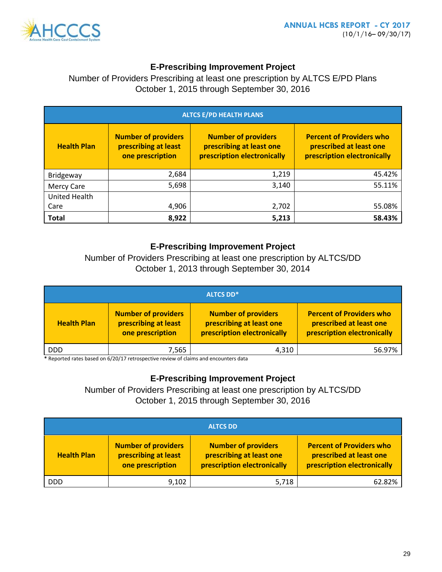

## **E-Prescribing Improvement Project**

Number of Providers Prescribing at least one prescription by ALTCS E/PD Plans October 1, 2015 through September 30, 2016

| <b>ALTCS E/PD HEALTH PLANS</b> |                                                                        |                                                                                       |                                                                                           |  |
|--------------------------------|------------------------------------------------------------------------|---------------------------------------------------------------------------------------|-------------------------------------------------------------------------------------------|--|
| <b>Health Plan</b>             | <b>Number of providers</b><br>prescribing at least<br>one prescription | <b>Number of providers</b><br>prescribing at least one<br>prescription electronically | <b>Percent of Providers who</b><br>prescribed at least one<br>prescription electronically |  |
| Bridgeway                      | 2,684                                                                  | 1,219                                                                                 | 45.42%                                                                                    |  |
| Mercy Care                     | 5,698                                                                  | 3,140                                                                                 | 55.11%                                                                                    |  |
| <b>United Health</b>           |                                                                        |                                                                                       |                                                                                           |  |
| Care                           | 4,906                                                                  | 2,702                                                                                 | 55.08%                                                                                    |  |
| <b>Total</b>                   | 8,922                                                                  | 5,213                                                                                 | 58.43%                                                                                    |  |

## **E-Prescribing Improvement Project**

Number of Providers Prescribing at least one prescription by ALTCS/DD October 1, 2013 through September 30, 2014

| <b>ALTCS DD*</b>   |                                                                        |                                                                                       |                                                                                           |  |
|--------------------|------------------------------------------------------------------------|---------------------------------------------------------------------------------------|-------------------------------------------------------------------------------------------|--|
| <b>Health Plan</b> | <b>Number of providers</b><br>prescribing at least<br>one prescription | <b>Number of providers</b><br>prescribing at least one<br>prescription electronically | <b>Percent of Providers who</b><br>prescribed at least one<br>prescription electronically |  |
| <b>DDD</b>         | 7,565                                                                  | 4,310                                                                                 | 56.97%                                                                                    |  |

**\*** Reported rates based on 6/20/17 retrospective review of claims and encounters data

## **E-Prescribing Improvement Project**

Number of Providers Prescribing at least one prescription by ALTCS/DD October 1, 2015 through September 30, 2016

| <b>ALTCS DD</b>    |                                                                        |                                                                                       |                                                                                           |  |  |  |  |
|--------------------|------------------------------------------------------------------------|---------------------------------------------------------------------------------------|-------------------------------------------------------------------------------------------|--|--|--|--|
| <b>Health Plan</b> | <b>Number of providers</b><br>prescribing at least<br>one prescription | <b>Number of providers</b><br>prescribing at least one<br>prescription electronically | <b>Percent of Providers who</b><br>prescribed at least one<br>prescription electronically |  |  |  |  |
| <b>DDD</b>         | 9,102                                                                  | 5,718                                                                                 | 62.82%                                                                                    |  |  |  |  |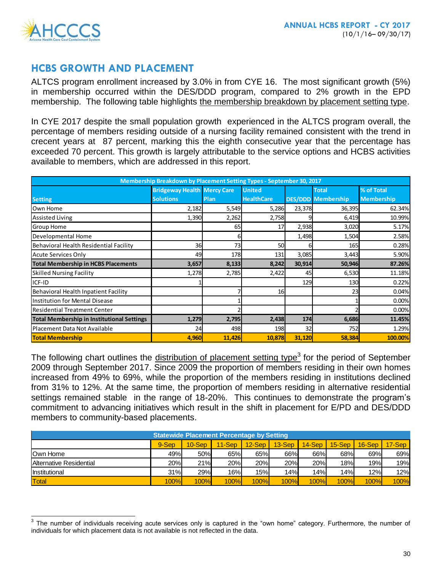

# **HCBS GROWTH AND PLACEMENT**

ALTCS program enrollment increased by 3.0% in from CYE 16. The most significant growth (5%) in membership occurred within the DES/DDD program, compared to 2% growth in the EPD membership. The following table highlights the membership breakdown by placement setting type.

In CYE 2017 despite the small population growth experienced in the ALTCS program overall, the percentage of members residing outside of a nursing facility remained consistent with the trend in crecent years at 87 percent, marking this the eighth consecutive year that the percentage has exceeded 70 percent. This growth is largely attributable to the service options and HCBS activities available to members, which are addressed in this report.

| Membership Breakdown by Placement Setting Types - September 30, 2017 |                                    |        |                   |        |                           |                   |  |  |
|----------------------------------------------------------------------|------------------------------------|--------|-------------------|--------|---------------------------|-------------------|--|--|
|                                                                      | <b>Bridgeway Health Mercy Care</b> |        | <b>United</b>     |        | <b>Total</b>              | % of Total        |  |  |
| <b>Setting</b>                                                       | <b>Solutions</b>                   | Plan   | <b>HealthCare</b> |        | <b>DES/DDD Membership</b> | <b>Membership</b> |  |  |
| Own Home                                                             | 2,182                              | 5,549  | 5,286             | 23,378 | 36,395                    | 62.34%            |  |  |
| Assisted Living                                                      | 1,390                              | 2,262  | 2,758             |        | 6,419                     | 10.99%            |  |  |
| <b>Group Home</b>                                                    |                                    | 65     | 17                | 2,938  | 3,020                     | 5.17%             |  |  |
| Developmental Home                                                   |                                    |        |                   | 1,498  | 1,504                     | 2.58%             |  |  |
| Behavioral Health Residential Facility                               | 36                                 | 73     | 50                |        | 165                       | 0.28%             |  |  |
| Acute Services Only                                                  | 49                                 | 178    | 131               | 3,085  | 3,443                     | 5.90%             |  |  |
| <b>Total Membership in HCBS Placements</b>                           | 3,657                              | 8,133  | 8,242             | 30,914 | 50,946                    | 87.26%            |  |  |
| <b>Skilled Nursing Facility</b>                                      | 1,278                              | 2,785  | 2,422             | 45     | 6,530                     | 11.18%            |  |  |
| ICF-ID                                                               |                                    |        |                   | 129    | 130                       | 0.22%             |  |  |
| Behavioral Health Inpatient Facility                                 |                                    |        | 16                |        | 23                        | 0.04%             |  |  |
| Institution for Mental Disease                                       |                                    |        |                   |        |                           | 0.00%             |  |  |
| <b>Residential Treatment Center</b>                                  |                                    |        |                   |        |                           | 0.00%             |  |  |
| <b>Total Membership in Institutional Settings</b>                    | 1,279                              | 2,795  | 2,438             | 174    | 6,686                     | 11.45%            |  |  |
| lPlacement Data Not Available                                        | 24                                 | 498    | 198               | 32     | 752                       | 1.29%             |  |  |
| <b>Total Membership</b>                                              | 4,960                              | 11,426 | 10,878            | 31,120 | 58,384                    | 100.00%           |  |  |

The following chart outlines the distribution of placement setting type<sup>3</sup> for the period of September 2009 through September 2017. Since 2009 the proportion of members residing in their own homes increased from 49% to 69%, while the proportion of the members residing in institutions declined from 31% to 12%. At the same time, the proportion of members residing in alternative residential settings remained stable in the range of 18-20%. This continues to demonstrate the program's commitment to advancing initiatives which result in the shift in placement for E/PD and DES/DDD members to community-based placements.

| <b>Statewide Placement Percentage by Setting</b> |       |            |          |           |          |             |             |             |          |
|--------------------------------------------------|-------|------------|----------|-----------|----------|-------------|-------------|-------------|----------|
|                                                  | 9-Sep | $10 -$ Sep | $11-Sep$ | $12$ -Sep | $13-Sep$ | $14-Sep$    | $15-$ Sep   | $16-Sep$    | $17-Sep$ |
| Own Home                                         | 49%   | 50%        | 65%      | 65%       | 66%      | 66%         | 68%         | 69%         | 69%      |
| Alternative Residential                          | 20%   | 21%        | 20%      | 20%       | 20%      | 20%         | 18%         | 19%         | 19%      |
| <b>Institutional</b>                             | 31%   | 29%        | 16%      | 15%       | 14%      | 14%         | 14%         | 12%         | 12%      |
| Total                                            | 100%  | 100%       | 100%     | 100%      | 100%     | <b>100%</b> | <b>100%</b> | <b>100%</b> | 100%     |

 $\overline{\text{3}^3}$  The number of individuals receiving acute services only is captured in the "own home" category. Furthermore, the number of individuals for which placement data is not available is not reflected in the data.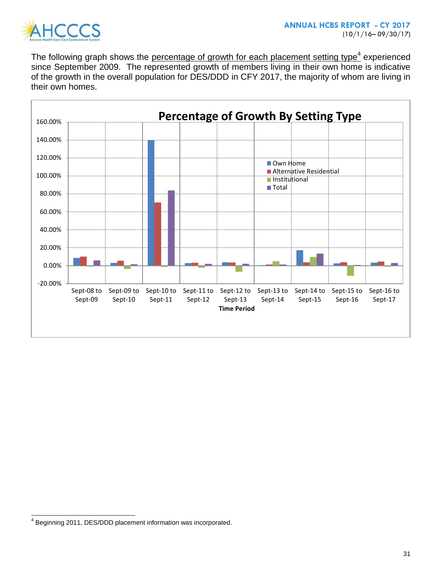

The following graph shows the percentage of growth for each placement setting type<sup>4</sup> experienced since September 2009. The represented growth of members living in their own home is indicative of the growth in the overall population for DES/DDD in CFY 2017, the majority of whom are living in their own homes.



 4 Beginning 2011, DES/DDD placement information was incorporated.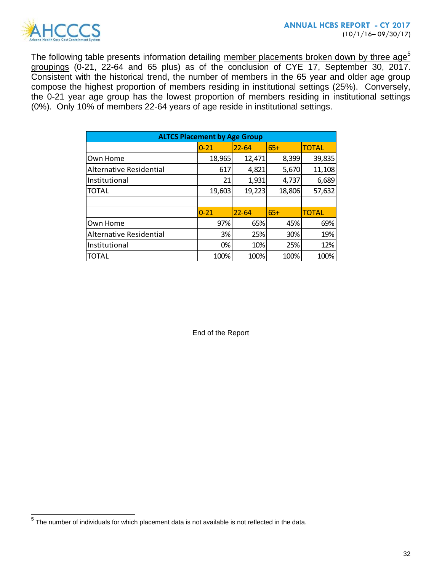

The following table presents information detailing member placements broken down by three age<sup>5</sup> groupings (0-21, 22-64 and 65 plus) as of the conclusion of CYE 17, September 30, 2017. Consistent with the historical trend, the number of members in the 65 year and older age group compose the highest proportion of members residing in institutional settings (25%). Conversely, the 0-21 year age group has the lowest proportion of members residing in institutional settings (0%). Only 10% of members 22-64 years of age reside in institutional settings.

| <b>ALTCS Placement by Age Group</b> |          |           |        |              |  |  |  |  |
|-------------------------------------|----------|-----------|--------|--------------|--|--|--|--|
|                                     | $0 - 21$ | $22 - 64$ | $65+$  | <b>TOTAL</b> |  |  |  |  |
| Own Home                            | 18,965   | 12,471    | 8,399  | 39,835       |  |  |  |  |
| <b>Alternative Residential</b>      | 617      | 4,821     | 5,670  | 11,108       |  |  |  |  |
| Institutional                       | 21       | 1,931     | 4,737  | 6,689        |  |  |  |  |
| <b>TOTAL</b>                        | 19,603   | 19,223    | 18,806 | 57,632       |  |  |  |  |
|                                     |          |           |        |              |  |  |  |  |
|                                     | $0 - 21$ | $22 - 64$ | $65+$  | <b>TOTAL</b> |  |  |  |  |
| Own Home                            | 97%      | 65%       | 45%    | 69%          |  |  |  |  |
| <b>Alternative Residential</b>      | 3%       | 25%       | 30%    | 19%          |  |  |  |  |
| Institutional                       | 0%       | 10%       | 25%    | 12%          |  |  |  |  |
| <b>TOTAL</b>                        | 100%     | 100%      | 100%   | 100%         |  |  |  |  |

End of the Report

 **5** The number of individuals for which placement data is not available is not reflected in the data.